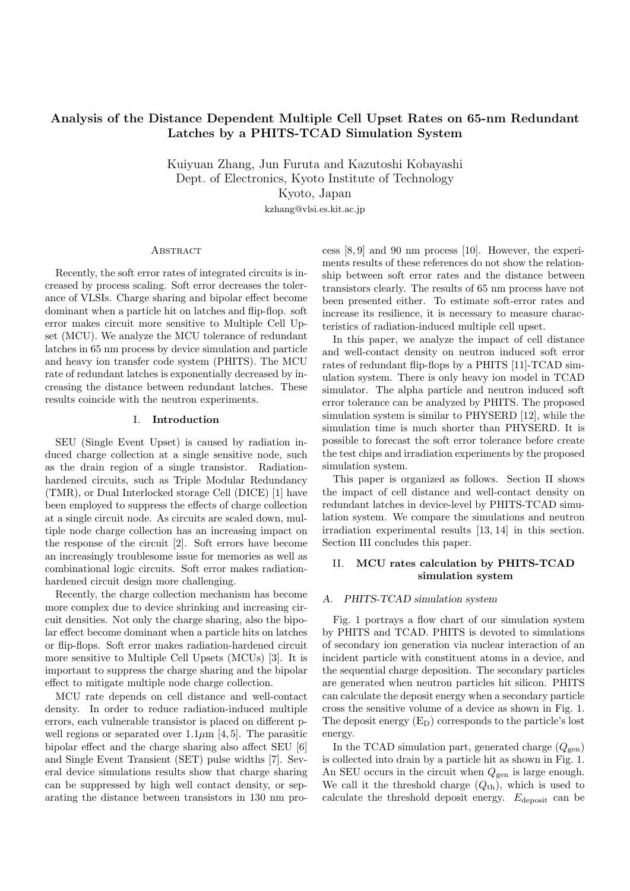# **Analysis of the Distance Dependent Multiple Cell Upset Rates on 65-nm Redundant Latches by a PHITS-TCAD Simulation System**

Kuiyuan Zhang, Jun Furuta and Kazutoshi Kobayashi Dept. of Electronics, Kyoto Institute of Technology Kyoto, Japan kzhang@vlsi.es.kit.ac.jp

# **ABSTRACT**

Recently, the soft error rates of integrated circuits is increased by process scaling. Soft error decreases the tolerance of VLSIs. Charge sharing and bipolar effect become dominant when a particle hit on latches and flip-flop. soft error makes circuit more sensitive to Multiple Cell Upset (MCU). We analyze the MCU tolerance of redundant latches in 65 nm process by device simulation and particle and heavy ion transfer code system (PHITS). The MCU rate of redundant latches is exponentially decreased by increasing the distance between redundant latches. These results coincide with the neutron experiments.

### I. **Introduction**

SEU (Single Event Upset) is caused by radiation induced charge collection at a single sensitive node, such as the drain region of a single transistor. Radiationhardened circuits, such as Triple Modular Redundancy (TMR), or Dual Interlocked storage Cell (DICE) [1] have been employed to suppress the effects of charge collection at a single circuit node. As circuits are scaled down, multiple node charge collection has an increasing impact on the response of the circuit [2]. Soft errors have become an increasingly troublesome issue for memories as well as combinational logic circuits. Soft error makes radiationhardened circuit design more challenging.

Recently, the charge collection mechanism has become more complex due to device shrinking and increasing circuit densities. Not only the charge sharing, also the bipolar effect become dominant when a particle hits on latches or flip-flops. Soft error makes radiation-hardened circuit more sensitive to Multiple Cell Upsets (MCUs) [3]. It is important to suppress the charge sharing and the bipolar effect to mitigate multiple node charge collection.

MCU rate depends on cell distance and well-contact density. In order to reduce radiation-induced multiple errors, each vulnerable transistor is placed on different pwell regions or separated over  $1.1\mu$ m [4,5]. The parasitic bipolar effect and the charge sharing also affect SEU [6] and Single Event Transient (SET) pulse widths [7]. Several device simulations results show that charge sharing can be suppressed by high well contact density, or separating the distance between transistors in 130 nm process [8, 9] and 90 nm process [10]. However, the experiments results of these references do not show the relationship between soft error rates and the distance between transistors clearly. The results of 65 nm process have not been presented either. To estimate soft-error rates and increase its resilience, it is necessary to measure characteristics of radiation-induced multiple cell upset.

In this paper, we analyze the impact of cell distance and well-contact density on neutron induced soft error rates of redundant flip-flops by a PHITS [11]-TCAD simulation system. There is only heavy ion model in TCAD simulator. The alpha particle and neutron induced soft error tolerance can be analyzed by PHITS. The proposed simulation system is similar to PHYSERD [12], while the simulation time is much shorter than PHYSERD. It is possible to forecast the soft error tolerance before create the test chips and irradiation experiments by the proposed simulation system.

This paper is organized as follows. Section II shows the impact of cell distance and well-contact density on redundant latches in device-level by PHITS-TCAD simulation system. We compare the simulations and neutron irradiation experimental results [13, 14] in this section. Section III concludes this paper.

# II. **MCU rates calculation by PHITS-TCAD simulation system**

# *A. PHITS-TCAD simulation system*

Fig. 1 portrays a flow chart of our simulation system by PHITS and TCAD. PHITS is devoted to simulations of secondary ion generation via nuclear interaction of an incident particle with constituent atoms in a device, and the sequential charge deposition. The secondary particles are generated when neutron particles hit silicon. PHITS can calculate the deposit energy when a secondary particle cross the sensitive volume of a device as shown in Fig. 1. The deposit energy  $(E_D)$  corresponds to the particle's lost energy.

In the TCAD simulation part, generated charge  $(Q_{gen})$ is collected into drain by a particle hit as shown in Fig. 1. An SEU occurs in the circuit when  $Q_{gen}$  is large enough. We call it the threshold charge  $(Q<sub>th</sub>)$ , which is used to calculate the threshold deposit energy.  $E_{\text{deposit}}$  can be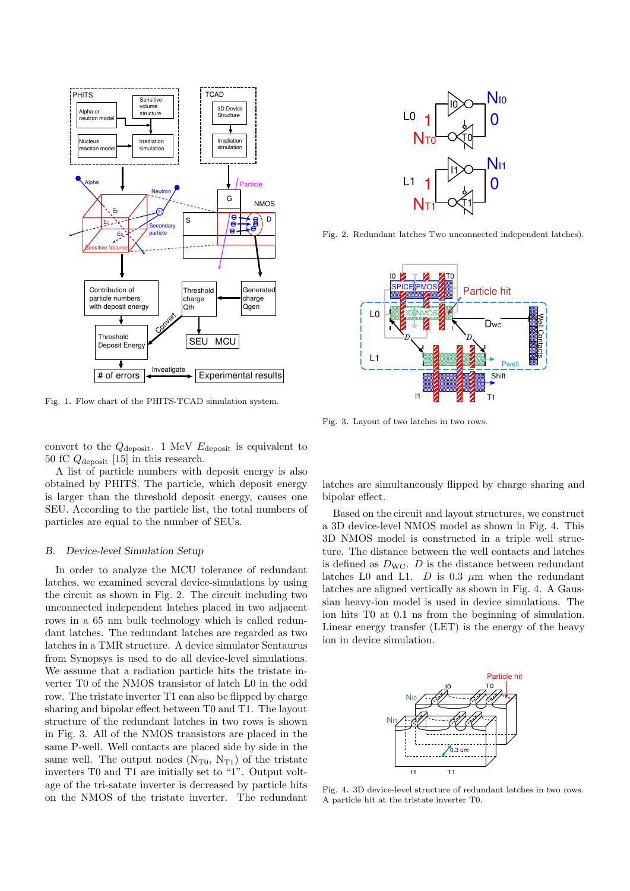

Fig. 1. Flow chart of the PHITS-TCAD simulation system.

convert to the *Q*deposit. 1 MeV *E*deposit is equivalent to 50 fC *Q*deposit [15] in this research.

A list of particle numbers with deposit energy is also obtained by PHITS. The particle, which deposit energy is larger than the threshold deposit energy, causes one SEU. According to the particle list, the total numbers of particles are equal to the number of SEUs.

#### *B. Device-level Simulation Setup*

In order to analyze the MCU tolerance of redundant latches, we examined several device-simulations by using the circuit as shown in Fig. 2. The circuit including two unconnected independent latches placed in two adjacent rows in a 65 nm bulk technology which is called redundant latches. The redundant latches are regarded as two latches in a TMR structure. A device simulator Sentaurus from Synopsys is used to do all device-level simulations. We assume that a radiation particle hits the tristate inverter T0 of the NMOS transistor of latch L0 in the odd row. The tristate inverter T1 can also be flipped by charge sharing and bipolar effect between T0 and T1. The layout structure of the redundant latches in two rows is shown in Fig. 3. All of the NMOS transistors are placed in the same P-well. Well contacts are placed side by side in the same well. The output nodes  $(N_{T0}, N_{T1})$  of the tristate inverters T0 and T1 are initially set to "1". Output voltage of the tri-satate inverter is decreased by particle hits on the NMOS of the tristate inverter. The redundant



Fig. 2. Redundant latches Two unconnected independent latches).



Fig. 3. Layout of two latches in two rows.

latches are simultaneously flipped by charge sharing and bipolar effect.

Based on the circuit and layout structures, we construct a 3D device-level NMOS model as shown in Fig. 4. This 3D NMOS model is constructed in a triple well structure. The distance between the well contacts and latches is defined as  $D_{\text{WC}}$ . *D* is the distance between redundant latches L0 and L1.  $D$  is 0.3  $\mu$ m when the redundant latches are aligned vertically as shown in Fig. 4. A Gaussian heavy-ion model is used in device simulations. The ion hits T0 at 0.1 ns from the beginning of simulation. Linear energy transfer (LET) is the energy of the heavy ion in device simulation.



Fig. 4. 3D device-level structure of redundant latches in two rows. A particle hit at the tristate inverter T0.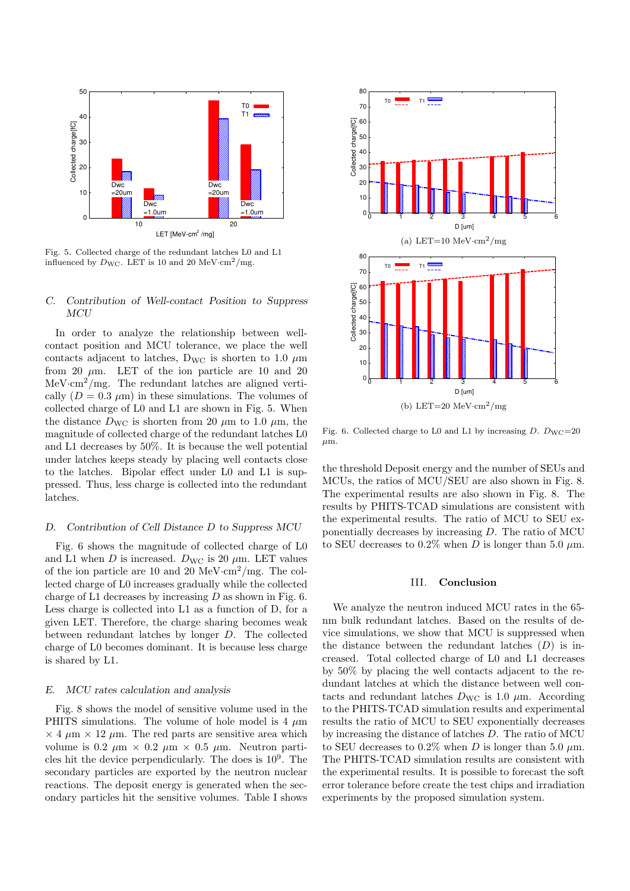

Fig. 5. Collected charge of the redundant latches L0 and L1 influenced by  $D_{\text{WC}}$ . LET is 10 and 20 MeV·cm<sup>2</sup>/mg.

# *C. Contribution of Well-contact Position to Suppress MCU*

In order to analyze the relationship between wellcontact position and MCU tolerance, we place the well contacts adjacent to latches,  $D_{\text{WC}}$  is shorten to 1.0  $\mu$ m from 20  $\mu$ m. LET of the ion particle are 10 and 20 MeV·cm<sup>2</sup>/mg. The redundant latches are aligned vertically  $(D = 0.3 \mu m)$  in these simulations. The volumes of collected charge of L0 and L1 are shown in Fig. 5. When the distance  $D_{\text{WC}}$  is shorten from 20  $\mu$ m to 1.0  $\mu$ m, the magnitude of collected charge of the redundant latches L0 and L1 decreases by 50%. It is because the well potential under latches keeps steady by placing well contacts close to the latches. Bipolar effect under L0 and L1 is suppressed. Thus, less charge is collected into the redundant latches.

### *D. Contribution of Cell Distance D to Suppress MCU*

Fig. 6 shows the magnitude of collected charge of L0 and L1 when *D* is increased.  $D_{\text{WC}}$  is 20  $\mu$ m. LET values of the ion particle are 10 and 20 MeV*·*cm<sup>2</sup>/mg. The collected charge of L0 increases gradually while the collected charge of L1 decreases by increasing *D* as shown in Fig. 6. Less charge is collected into L1 as a function of D, for a given LET. Therefore, the charge sharing becomes weak between redundant latches by longer *D*. The collected charge of L0 becomes dominant. It is because less charge is shared by L1.

### *E. MCU rates calculation and analysis*

Fig. 8 shows the model of sensitive volume used in the PHITS simulations. The volume of hole model is 4 *µ*m  $\times$  4  $\mu$ m  $\times$  12  $\mu$ m. The red parts are sensitive area which volume is 0.2  $\mu$ m  $\times$  0.2  $\mu$ m  $\times$  0.5  $\mu$ m. Neutron particles hit the device perpendicularly. The does is 10<sup>9</sup> . The secondary particles are exported by the neutron nuclear reactions. The deposit energy is generated when the secondary particles hit the sensitive volumes. Table I shows



Fig. 6. Collected charge to L0 and L1 by increasing  $D$ .  $D_{\text{WC}}=20$ *µ*m.

the threshold Deposit energy and the number of SEUs and MCUs, the ratios of MCU/SEU are also shown in Fig. 8. The experimental results are also shown in Fig. 8. The results by PHITS-TCAD simulations are consistent with the experimental results. The ratio of MCU to SEU exponentially decreases by increasing *D*. The ratio of MCU to SEU decreases to 0.2% when *D* is longer than 5.0  $\mu$ m.

#### III. **Conclusion**

We analyze the neutron induced MCU rates in the 65 nm bulk redundant latches. Based on the results of device simulations, we show that MCU is suppressed when the distance between the redundant latches (*D*) is increased. Total collected charge of L0 and L1 decreases by 50% by placing the well contacts adjacent to the redundant latches at which the distance between well contacts and redundant latches  $D_{\text{WC}}$  is 1.0  $\mu$ m. According to the PHITS-TCAD simulation results and experimental results the ratio of MCU to SEU exponentially decreases by increasing the distance of latches *D*. The ratio of MCU to SEU decreases to 0.2\% when *D* is longer than 5.0  $\mu$ m. The PHITS-TCAD simulation results are consistent with the experimental results. It is possible to forecast the soft error tolerance before create the test chips and irradiation experiments by the proposed simulation system.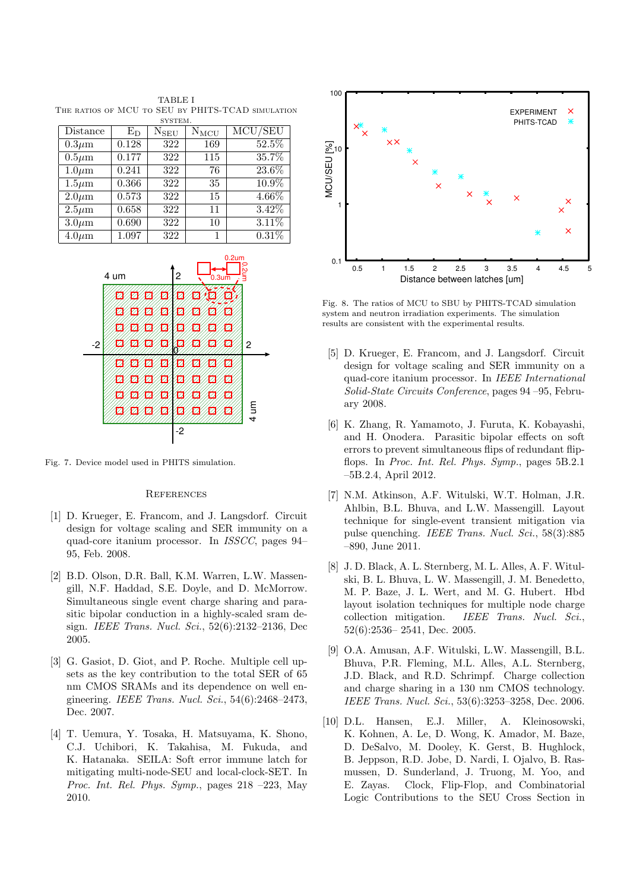TABLE I THE RATIOS OF MCU TO SEU BY PHITS-TCAD SIMULATION system.

| Distance    | $E_D$ | $N_{SEU}$ | $\rm N_{\rm MCU}$ | MCU/SEU  |
|-------------|-------|-----------|-------------------|----------|
| $0.3 \mu m$ | 0.128 | 322       | 169               | 52.5%    |
| $0.5\mu m$  | 0.177 | 322       | 115               | 35.7%    |
| $1.0 \mu m$ | 0.241 | 322       | 76                | $23.6\%$ |
| $1.5 \mu m$ | 0.366 | 322       | 35                | $10.9\%$ |
| $2.0 \mu m$ | 0.573 | 322       | 15                | $4.66\%$ |
| $2.5\mu m$  | 0.658 | 322       | 11                | $3.42\%$ |
| $3.0 \mu m$ | 0.690 | 322       | 10                | 3.11%    |
| $4.0 \mu m$ | 1.097 | 322       |                   | 0.31%    |



Fig. 7. Device model used in PHITS simulation.

#### **REFERENCES**

- [1] D. Krueger, E. Francom, and J. Langsdorf. Circuit design for voltage scaling and SER immunity on a quad-core itanium processor. In *ISSCC*, pages 94– 95, Feb. 2008.
- [2] B.D. Olson, D.R. Ball, K.M. Warren, L.W. Massengill, N.F. Haddad, S.E. Doyle, and D. McMorrow. Simultaneous single event charge sharing and parasitic bipolar conduction in a highly-scaled sram design. *IEEE Trans. Nucl. Sci.*, 52(6):2132–2136, Dec 2005.
- [3] G. Gasiot, D. Giot, and P. Roche. Multiple cell upsets as the key contribution to the total SER of 65 nm CMOS SRAMs and its dependence on well engineering. *IEEE Trans. Nucl. Sci.*, 54(6):2468–2473, Dec. 2007.
- [4] T. Uemura, Y. Tosaka, H. Matsuyama, K. Shono, C.J. Uchibori, K. Takahisa, M. Fukuda, and K. Hatanaka. SEILA: Soft error immune latch for mitigating multi-node-SEU and local-clock-SET. In *Proc. Int. Rel. Phys. Symp.*, pages 218 –223, May 2010.



Fig. 8. The ratios of MCU to SBU by PHITS-TCAD simulation system and neutron irradiation experiments. The simulation results are consistent with the experimental results.

- [5] D. Krueger, E. Francom, and J. Langsdorf. Circuit design for voltage scaling and SER immunity on a quad-core itanium processor. In *IEEE International Solid-State Circuits Conference*, pages 94 –95, February 2008.
- [6] K. Zhang, R. Yamamoto, J. Furuta, K. Kobayashi, and H. Onodera. Parasitic bipolar effects on soft errors to prevent simultaneous flips of redundant flipflops. In *Proc. Int. Rel. Phys. Symp.*, pages 5B.2.1 –5B.2.4, April 2012.
- [7] N.M. Atkinson, A.F. Witulski, W.T. Holman, J.R. Ahlbin, B.L. Bhuva, and L.W. Massengill. Layout technique for single-event transient mitigation via pulse quenching. *IEEE Trans. Nucl. Sci.*, 58(3):885 –890, June 2011.
- [8] J. D. Black, A. L. Sternberg, M. L. Alles, A. F. Witulski, B. L. Bhuva, L. W. Massengill, J. M. Benedetto, M. P. Baze, J. L. Wert, and M. G. Hubert. Hbd layout isolation techniques for multiple node charge collection mitigation. *IEEE Trans. Nucl. Sci.*, 52(6):2536– 2541, Dec. 2005.
- [9] O.A. Amusan, A.F. Witulski, L.W. Massengill, B.L. Bhuva, P.R. Fleming, M.L. Alles, A.L. Sternberg, J.D. Black, and R.D. Schrimpf. Charge collection and charge sharing in a 130 nm CMOS technology. *IEEE Trans. Nucl. Sci.*, 53(6):3253–3258, Dec. 2006.
- [10] D.L. Hansen, E.J. Miller, A. Kleinosowski, K. Kohnen, A. Le, D. Wong, K. Amador, M. Baze, D. DeSalvo, M. Dooley, K. Gerst, B. Hughlock, B. Jeppson, R.D. Jobe, D. Nardi, I. Ojalvo, B. Rasmussen, D. Sunderland, J. Truong, M. Yoo, and E. Zayas. Clock, Flip-Flop, and Combinatorial Logic Contributions to the SEU Cross Section in